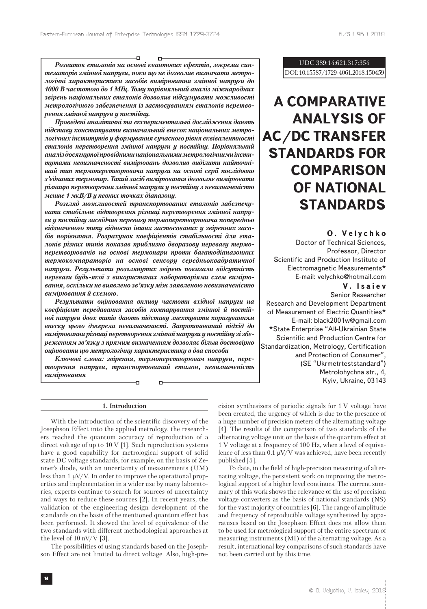Ð

*Розвиток еталонiв на основi квантових ефектiв, зокрема синтезаторiв змiнної напруги, поки що не дозволяє визначати метрологiчнi характеристики засобiв вимiрювання змiнної напруги до 1000 В частотою до 1 МГц. Тому порiвняльний аналiз мiжнародних звiрень нацiональних еталонiв дозволив пiдсумувати можливостi метрологiчного забезпечення iз застосуванням еталонiв перетворення змiнної напруги у постiйну.*

o-

*Проведенi аналiтичнi та експериментальнi дослiдження дають пiдставу констатувати визначальний внесок нацiональних метрологiчних iнститутiв у формування сучасного рiвня еквiвалентностi еталонiв перетворення змiнної напруги у постiйну. Порiвняльний аналiз досягнутої провiдними нацiональними метрологiчними iнститутами невизначеностi вимiрювань дозволив видiлити найточнiший тип термоперетворювача напруги на основi серiї послiдовно з'єднаних термопар. Такий засiб вимiрювання дозволяє вимiрювати рiзницю перетворення змiнної напруги у постiйну з невизначенiстю менше 1 мкВ/В у певних точках дiапазону.*

*Розгляд можливостей транспортованих еталонiв забезпечувати стабiльне вiдтворення рiзницi перетворення змiнної напруги у постiйну засвiдчив перевагу термоперетворювача попередньо вiдзначеного типу вiдносно iнших застосованих у звiреннях засобiв порiвняння. Розрахунок коефiцiєнтiв стабiльностi для еталонiв рiзних типiв показав приблизно дворазову перевагу термоперетворювачiв на основi термопари проти багатодiапазонних термокомпараторiв на основi сенсору середньоквадратичної напруги. Результати розглянутих звiрень показали вiдсутнiсть переваги будь-якої з використаних лабораторiями схем вимiрювання, оскiльки не виявлено зв'язку мiж заявленою невизначенiстю вимiрювання й схемою.*

*Результати оцiнювання впливу частоти вхiдної напруги на коефiцiєнт передавання засобiв компарування змiнної й постiйної напруги двох типiв дають пiдставу знехтувати коригуванням внеску цього джерела невизначеностi. Запропонований пiдхiд до вимiрювання рiзницi перетворення змiнної напруги у постiйну зi збереженням зв'язку з прямим визначенням дозволяє бiльш достовiрно оцiнювати цю метрологiчну характеристику в два способи*

*Ключовi слова: звiрення, термоперетворювач напруги, перетворення напруги, транспортований еталон, невизначенiсть вимiрювання*

D-

Ð

## **1. Introduction**

With the introduction of the scientific discovery of the Josephson Effect into the applied metrology, the researchers reached the quantum accuracy of reproduction of a direct voltage of up to 10 V [1]. Such reproduction systems have a good capability for metrological support of solid state DC voltage standards, for example, on the basis of Zenner's diode, with an uncertainty of measurements (UM) less than 1 μV/V. In order to improve the operational properties and implementation in a wider use by many laboratories, experts continue to search for sources of uncertainty and ways to reduce these sources [2]. In recent years, the validation of the engineering design development of the standards on the basis of the mentioned quantum effect has been performed. It showed the level of equivalence of the two standards with different methodological approaches at the level of 10 nV/V [3].

The possibilities of using standards based on the Josephson Effect are not limited to direct voltage. Also, high-pre-

## UDC 389:14:621.317:354 DOI: 10.15587/1729-4061.2018.150459

# **A COMPARATIVE ANALYSIS OF AC/DC TRANSFER STANDARDS FOR COMPARISON OF NATIONAL STANDARDS**

## **O. Velychko**

Doctor of Technical Sciences, Professor, Director Scientific and Production Institute of Electromagnetic Measurements\* E-mail: velychko@hotmail.com

## **V. Isaiev**

Senior Researcher Research and Development Department of Measurement of Electric Quantities\* E-mail: black2001w@gmail.com \*State Enterprise "All-Ukrainian State Scientific and Production Centre for Standardization, Metrology, Certification and Protection of Consumer", (SE "Ukrmetrteststandard") Metrolohychna str., 4, Kyiv, Ukraine, 03143

cision synthesizers of periodic signals for 1 V voltage have been created, the urgency of which is due to the presence of a huge number of precision meters of the alternating voltage [4]. The results of the comparison of two standards of the alternating voltage unit on the basis of the quantum effect at 1 V voltage at a frequency of 100 Hz, when a level of equivalence of less than 0.1  $\mu$ V/V was achieved, have been recently published [5].

To date, in the field of high-precision measuring of alternating voltage, the persistent work on improving the metrological support of a higher level continues. The current summary of this work shows the relevance of the use of precision voltage converters as the basis of national standards (NS) for the vast majority of countries [6]. The range of amplitude and frequency of reproducible voltage synthesized by apparatuses based on the Josephson Effect does not allow them to be used for metrological support of the entire spectrum of measuring instruments (MI) of the alternating voltage. As a result, international key comparisons of such standards have not been carried out by this time.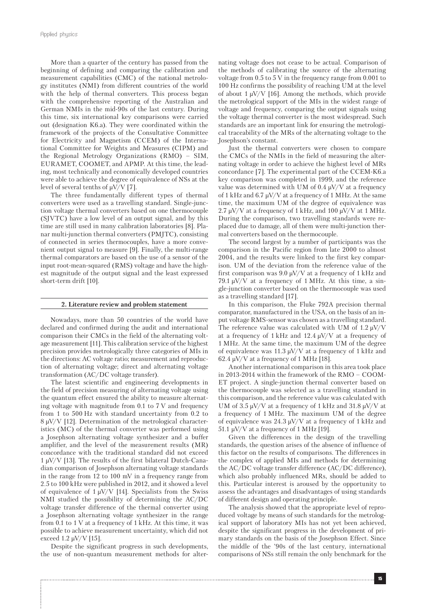More than a quarter of the century has passed from the beginning of defining and comparing the calibration and measurement capabilities (CMC) of the national metrology institutes (NMI) from different countries of the world with the help of thermal converters. This process began with the comprehensive reporting of the Australian and German NMIs in the mid-90s of the last century. During this time, six international key comparisons were carried out (designation K6.a). They were coordinated within the framework of the projects of the Consultative Committee for Electricity and Magnetism (CCEM) of the International Committee for Weights and Measures (CIPM) and the Regional Metrology Organizations (RMO) – SIM, EURAMET, COOMET, and APMP. At this time, the leading, most technically and economically developed countries were able to achieve the degree of equivalence of NSs at the level of several tenths of  $\mu$ V/V [7].

The three fundamentally different types of thermal converters were used as a travelling standard. Single-junction voltage thermal converters based on one thermocouple (SJVTC) have a low level of an output signal, and by this time are still used in many calibration laboratories [8]. Planar multi-junction thermal converters (PMJTC), consisting of connected in series thermocouples, have a more convenient output signal to measure [9]. Finally, the multi-range thermal comparators are based on the use of a sensor of the input root-mean-squared (RMS) voltage and have the highest magnitude of the output signal and the least expressed short-term drift [10].

#### **2. Literature review and problem statement**

Nowadays, more than 50 countries of the world have declared and confirmed during the audit and international comparison their CMCs in the field of the alternating voltage measurement [11]. This calibration service of the highest precision provides metrologically three categories of MIs in the directions: AC voltage ratio; measurement and reproduction of alternating voltage; direct and alternating voltage transformation (AC/DC voltage transfer).

The latest scientific and engineering developments in the field of precision measuring of alternating voltage using the quantum effect ensured the ability to measure alternating voltage with magnitude from 0.1 to 7 V and frequency from 1 to 500 Hz with standard uncertainty from 0.2 to 8 μV/V [12]. Determination of the metrological characteristics (MC) of the thermal converter was performed using a Josephson alternating voltage synthesizer and a buffer amplifier, and the level of the measurement results (MR) concordance with the traditional standard did not exceed 1 μV/V [13]. The results of the first bilateral Dutch-Canadian comparison of Josephson alternating voltage standards in the range from 12 to 100 mV in a frequency range from 2.5 to 100 kHz were published in 2012, and it showed a level of equivalence of 1  $\mu$ V/V [14]. Specialists from the Swiss NMI studied the possibility of determining the AC/DC voltage transfer difference of the thermal converter using a Josephson alternating voltage synthesizer in the range from 0.1 to 1 V at a frequency of 1 kHz. At this time, it was possible to achieve measurement uncertainty, which did not exceed 1.2 μV/V [15].

Despite the significant progress in such developments, the use of non-quantum measurement methods for alter-

nating voltage does not cease to be actual. Comparison of the methods of calibrating the source of the alternating voltage from 0.5 to 5 V in the frequency range from 0.001 to 100 Hz confirms the possibility of reaching UM at the level of about 1  $\mu$ V/V [16]. Among the methods, which provide the metrological support of the MIs in the widest range of voltage and frequency, comparing the output signals using the voltage thermal converter is the most widespread. Such standards are an important link for ensuring the metrological traceability of the MRs of the alternating voltage to the Josephson's constant.

Just the thermal converters were chosen to compare the CMCs of the NMIs in the field of measuring the alternating voltage in order to achieve the highest level of MRs concordance [7]. The experimental part of the CCEM-K6.a key comparison was completed in 1999, and the reference value was determined with UM of 0.4  $\mu$ V/V at a frequency of 1 kHz and 6.7  $\mu$ V/V at a frequency of 1 MHz. At the same time, the maximum UM of the degree of equivalence was 2.7  $\mu$ V/V at a frequency of 1 kHz, and 100  $\mu$ V/V at 1 MHz. During the comparison, two travelling standards were replaced due to damage, all of them were multi-junction thermal converters based on the thermocouple.

The second largest by a number of participants was the comparison in the Pacific region from late 2000 to almost 2004, and the results were linked to the first key comparison. UM of the deviation from the reference value of the first comparison was 9.0  $\mu$ V/V at a frequency of 1 kHz and 79.1  $\mu$ V/V at a frequency of 1 MHz. At this time, a single-junction converter based on the thermocouple was used as a travelling standard [17].

In this comparison, the Fluke 792A precision thermal comparator, manufactured in the USA, on the basis of an input voltage RMS-sensor was chosen as a travelling standard. The reference value was calculated with UM of 1.2  $\mu$ V/V at a frequency of 1 kHz and 12.4  $\mu$ V/V at a frequency of 1 MHz. At the same time, the maximum UM of the degree of equivalence was 11.3 μV/V at a frequency of 1 kHz and  $62.4 \mu$ V/V at a frequency of 1 MHz [18].

Another international comparison in this area took place in 2013-2014 within the framework of the RMO – COOM-ET project. A single-junction thermal converter based on the thermocouple was selected as a travelling standard in this comparison, and the reference value was calculated with UM of  $3.5 \mu$ V/V at a frequency of 1 kHz and  $31.8 \mu$ V/V at a frequency of 1 MHz. The maximum UM of the degree of equivalence was 24.3  $\mu$ V/V at a frequency of 1 kHz and 51.1  $\mu$ V/V at a frequency of 1 MHz [19].

Given the differences in the design of the travelling standards, the question arises of the absence of influence of this factor on the results of comparisons. The differences in the complex of applied MIs and methods for determining the AC/DC voltage transfer difference (AC/DC difference), which also probably influenced MRs, should be added to this. Particular interest is aroused by the opportunity to assess the advantages and disadvantages of using standards of different design and operating principle.

The analysis showed that the appropriate level of reproduced voltage by means of such standards for the metrological support of laboratory MIs has not yet been achieved, despite the significant progress in the development of primary standards on the basis of the Josephson Effect. Since the middle of the '90s of the last century, international comparisons of NSs still remain the only benchmark for the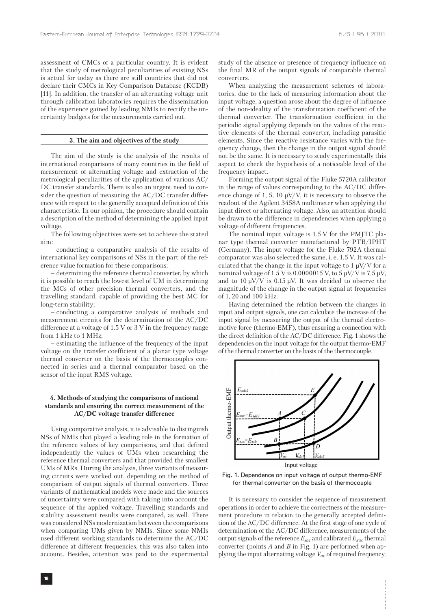assessment of CMCs of a particular country. It is evident that the study of metrological peculiarities of existing NSs is actual for today as there are still countries that did not declare their CMCs in Key Comparison Database (KCDB) [11]. In addition, the transfer of an alternating voltage unit through calibration laboratories requires the dissemination of the experience gained by leading NMIs to rectify the uncertainty budgets for the measurements carried out.

#### **3. The aim and objectives of the study**

The aim of the study is the analysis of the results of international comparisons of many countries in the field of measurement of alternating voltage and extraction of the metrological peculiarities of the application of various AC/ DC transfer standards. There is also an urgent need to consider the question of measuring the AC/DC transfer difference with respect to the generally accepted definition of this characteristic. In our opinion, the procedure should contain a description of the method of determining the applied input voltage.

The following objectives were set to achieve the stated aim:

– conducting a comparative analysis of the results of international key comparisons of NSs in the part of the reference value formation for these comparisons;

– determining the reference thermal converter, by which it is possible to reach the lowest level of UM in determining the MCs of other precision thermal converters, and the travelling standard, capable of providing the best MC for long-term stability;

– conducting a comparative analysis of methods and measurement circuits for the determination of the AC/DC difference at a voltage of 1.5 V or 3 V in the frequency range from 1 kHz to 1 MHz;

– estimating the influence of the frequency of the input voltage on the transfer coefficient of a planar type voltage thermal converter on the basis of the thermocouples connected in series and a thermal comparator based on the sensor of the input RMS voltage.

## **4. Methods of studying the comparisons of national standards and ensuring the correct measurement of the AC/DC voltage transfer difference**

Using comparative analysis, it is advisable to distinguish NSs of NMIs that played a leading role in the formation of the reference values of key comparisons, and that defined independently the values of UMs when researching the reference thermal converters and that provided the smallest UMs of MRs. During the analysis, three variants of measuring circuits were worked out, depending on the method of comparison of output signals of thermal converters. Three variants of mathematical models were made and the sources of uncertainty were compared with taking into account the sequence of the applied voltage. Travelling standards and stability assessment results were compared, as well. There was considered NSs modernization between the comparisons when comparing UMs given by NMIs. Since some NMIs used different working standards to determine the AC/DC difference at different frequencies, this was also taken into account. Besides, attention was paid to the experimental study of the absence or presence of frequency influence on the final MR of the output signals of comparable thermal converters.

When analyzing the measurement schemes of laboratories, due to the lack of measuring information about the input voltage, a question arose about the degree of influence of the non-ideality of the transformation coefficient of the thermal converter. The transformation coefficient in the periodic signal applying depends on the values of the reactive elements of the thermal converter, including parasitic elements. Since the reactive resistance varies with the frequency change, then the change in the output signal should not be the same. It is necessary to study experimentally this aspect to check the hypothesis of a noticeable level of the frequency impact.

Forming the output signal of the Fluke 5720A calibrator in the range of values corresponding to the AC/DC difference change of 1, 5, 10  $\mu$ V/V, it is necessary to observe the readout of the Agilent 3458A multimeter when applying the input direct or alternating voltage. Also, an attention should be drawn to the difference in dependencies when applying a voltage of different frequencies.

The nominal input voltage is 1.5 V for the PMJTC planar type thermal converter manufactured by PTB/IPHT (Germany). The input voltage for the Fluke 792A thermal comparator was also selected the same, i. e. 1.5 V. It was calculated that the change in the input voltage to 1  $\mu$ V/V for a nominal voltage of 1.5 V is 0.0000015 V, to 5  $\mu$ V/V is 7.5  $\mu$ V, and to 10  $\mu$ V/V is 0.15  $\mu$ V. It was decided to observe the magnitude of the change in the output signal at frequencies of 1, 20 and 100 kHz.

Having determined the relation between the changes in input and output signals, one can calculate the increase of the input signal by measuring the output of the thermal electromotive force (thermo-EMF), thus ensuring a connection with the direct definition of the AC/DC difference. Fig. 1 shows the dependencies on the input voltage for the output thermo-EMF of the thermal converter on the basis of the thermocouple.





It is necessary to consider the sequence of measurement operations in order to achieve the correctness of the measurement procedure in relation to the generally accepted definition of the AC/DC difference. At the first stage of one cycle of determination of the AC/DC difference, measurements of the output signals of the reference *Еsаc* and calibrated *Еxаc* thermal converter (points *A* and *B* in Fig. 1) are performed when applying the input alternating voltage *Vаc* of required frequency.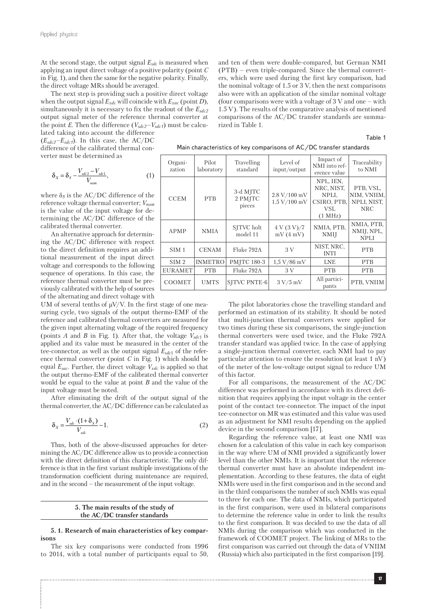At the second stage, the output signal  $E_{sdc}$  is measured when applying an input direct voltage of a positive polarity (point *C* in Fig. 1), and then the same for the negative polarity. Finally, the direct voltage MRs should be averaged.

The next step is providing such a positive direct voltage when the output signal *Еxdc* will coincide with *Еxаc* (point *D*), simultaneously it is necessary to fix the readout of the *Еsdc2* output signal meter of the reference thermal converter at the point *Е*. Then the difference (*Vsdc2*–*Vsdc1*) must be calculated taking into account the difference

(*Еsdc2*–*Еsdc1*). In this case, the AC/DC difference of the calibrated thermal converter must be determined as

$$
\delta_X = \delta_S - \frac{V_{sdc2} - V_{sdc1}}{V_{nom}},\tag{1}
$$

where  $\delta_S$  is the AC/DC difference of the reference voltage thermal converter; *Vnom* is the value of the input voltage for determining the AC/DC difference of the calibrated thermal converter.

An alternative approach for determining the AC/DC difference with respect to the direct definition requires an additional measurement of the input direct voltage and corresponds to the following sequence of operations. In this case, the reference thermal converter must be previously calibrated with the help of sources of the alternating and direct voltage with

UM of several tenths of  $\mu$ V/V. In the first stage of one measuring cycle, two signals of the output thermo-EMF of the reference and calibrated thermal converters are measured for the given input alternating voltage of the required frequency (points *А* and *В* in Fig. 1). After that, the voltage *Vsdс*<sup>1</sup> is applied and its value must be measured in the center of the tee-connector, as well as the output signal *Еsdc*1 of the reference thermal converter (point *С* in Fig. 1) which should be equal *Еsаc*. Further, the direct voltage *Vxdс* is applied so that the output thermo-EMF of the calibrated thermal converter would be equal to the value at point *B* and the value of the input voltage must be noted.

After eliminating the drift of the output signal of the thermal converter, the AC/DC difference can be calculated as

$$
\delta_X = \frac{V_{sdc} \cdot (1 + \delta_S)}{V_{xdc}} - 1.
$$
\n(2)

Thus, both of the above-discussed approaches for determining the AC/DC difference allow us to provide a connection with the direct definition of this characteristic. The only difference is that in the first variant multiple investigations of the transformation coefficient during maintenance are required, and in the second – the measurement of the input voltage.

> **5. The main results of the study of the AC/DC transfer standards**

## **5. 1. Research of main characteristics of key comparisons**

The six key comparisons were conducted from 1996 to 2014, with a total number of participants equal to 50,

and ten of them were double-compared, but German NMI (PTB) – even triple-compared. Since the thermal converters, which were used during the first key comparison, had the nominal voltage of 1.5 or 3 V, then the next comparisons also were with an application of the similar nominal voltage (four comparisons were with a voltage of 3 V and one – with 1.5 V). The results of the comparative analysis of mentioned comparisons of the AC/DC transfer standards are summarized in Table 1.

#### Table 1

| Main characteristics of key comparisons of AC/DC transfer standards |  |  |
|---------------------------------------------------------------------|--|--|
|---------------------------------------------------------------------|--|--|

| Organi-<br>zation | Pilot<br>laboratory | Travelling<br>standard        | Level of<br>input/output     | Impact of<br>NMI into ref-<br>erence value                        | Traceability<br>to NMI                                |
|-------------------|---------------------|-------------------------------|------------------------------|-------------------------------------------------------------------|-------------------------------------------------------|
| <b>CCEM</b>       | <b>PTB</b>          | 3-d MJTC<br>2 PMJTC<br>pieces | 2.8 V/100 mV<br>1.5 V/100 mV | NPL, IEN,<br>NRC, NIST,<br>NPLI,<br>CSIRO, PTB,<br>VSL<br>(1 MHz) | PTB, VSL,<br>NIM, VNIIM,<br>NPLI, NIST,<br><b>NRC</b> |
| APMP              | <b>NMIA</b>         | SITVC holt<br>model 11        | 4 V (3 V)/7<br>mV(4mV)       | NMIA, PTB,<br><b>NMII</b>                                         | NMIA, PTB,<br>NMIJ, NPL,<br><b>NPLI</b>               |
| SIM <sub>1</sub>  | <b>CENAM</b>        | Fluke 792A                    | 3V                           | NIST, NRC,<br><b>INTI</b>                                         | <b>PTB</b>                                            |
| SIM <sub>2</sub>  | <b>INMETRO</b>      | <b>PMITC 180-3</b>            | $1,5 \frac{\text{V}}{86}$ mV | <b>LNE</b>                                                        | <b>PTB</b>                                            |
| <b>EURAMET</b>    | <b>PTB</b>          | Fluke 792A                    | 3V                           | <b>PTB</b>                                                        | <b>PTB</b>                                            |
| <b>COOMET</b>     | <b>UMTS</b>         | SITVC PNTE-6                  | 3 V/5 mV                     | All partici-<br>pants                                             | PTB, VNIIM                                            |

The pilot laboratories chose the travelling standard and performed an estimation of its stability. It should be noted that multi-junction thermal converters were applied for two times during these six comparisons, the single-junction thermal converters were used twice, and the Fluke 792A transfer standard was applied twice. In the case of applying a single-junction thermal converter, each NMI had to pay particular attention to ensure the resolution (at least 1 nV) of the meter of the low-voltage output signal to reduce UM of this factor.

For all comparisons, the measurement of the AC/DC difference was performed in accordance with its direct definition that requires applying the input voltage in the center point of the contact tee-connector. The impact of the input tee-connector on MR was estimated and this value was used as an adjustment for NMI results depending on the applied device in the second comparison [17].

Regarding the reference value, at least one NMI was chosen for a calculation of this value in each key comparison in the way where UM of NMI provided a significantly lower level than the other NMIs. It is important that the reference thermal converter must have an absolute independent implementation. According to these features, the data of eight NMIs were used in the first comparison and in the second and in the third comparisons the number of such NMIs was equal to three for each one. The data of NMIs, which participated in the first comparison, were used in bilateral comparisons to determine the reference value in order to link the results to the first comparison. It was decided to use the data of all NMIs during the comparison which was conducted in the framework of COOMET project. The linking of MRs to the first comparison was carried out through the data of VNIIM (Russia) which also participated in the first comparison [19].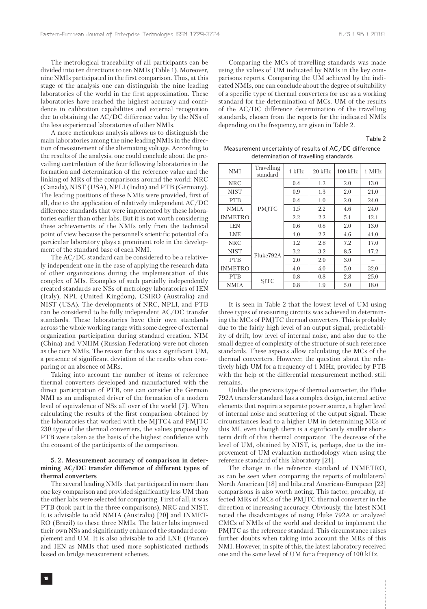The metrological traceability of all participants can be divided into ten directions to ten NMIs (Table 1). Moreover, nine NMIs participated in the first comparison. Thus, at this stage of the analysis one can distinguish the nine leading laboratories of the world in the first approximation. These laboratories have reached the highest accuracy and confidence in calibration capabilities and external recognition due to obtaining the AC/DC difference value by the NSs of the less experienced laboratories of other NMIs.

A more meticulous analysis allows us to distinguish the main laboratories among the nine leading NMIs in the direction of measurement of the alternating voltage. According to the results of the analysis, one could conclude about the prevailing contribution of the four following laboratories in the formation and determination of the reference value and the linking of MRs of the comparisons around the world: NRC (Canada), NIST (USA), NPLI (India) and PTB (Germany). The leading positions of these NMIs were provided, first of all, due to the application of relatively independent AC/DC difference standards that were implemented by these laboratories earlier than other labs. But it is not worth considering these achievements of the NMIs only from the technical point of view because the personnel's scientific potential of a particular laboratory plays a prominent role in the development of the standard base of each NMI.

The AC/DC standard can be considered to be a relatively independent one in the case of applying the research data of other organizations during the implementation of this complex of MIs. Examples of such partially independently created standards are NSs of metrology laboratories of IEN (Italy), NPL (United Kingdom), CSIRO (Australia) and NIST (USA). The developments of NRC, NPLI, and PTB can be considered to be fully independent AC/DC transfer standards. These laboratories have their own standards across the whole working range with some degree of external organization participation during standard creation. NIM (China) and VNIIM (Russian Federation) were not chosen as the core NMIs. The reason for this was a significant UM, a presence of significant deviation of the results when comparing or an absence of MRs.

Taking into account the number of items of reference thermal converters developed and manufactured with the direct participation of PTB, one can consider the German NMI as an undisputed driver of the formation of a modern level of equivalence of NSs all over of the world [7]. When calculating the results of the first comparison obtained by the laboratories that worked with the MJTC4 and PMJTC 230 type of the thermal converters, the values proposed by PTB were taken as the basis of the highest confidence with the consent of the participants of the comparison.

## **5. 2. Measurement accuracy of comparison in determining AC/DC transfer difference of different types of thermal converters**

The several leading NMIs that participated in more than one key comparison and provided significantly less UM than the other labs were selected for comparing. First of all, it was PTB (took part in the three comparisons), NRC and NIST. It is advisable to add NMIA (Australia) [20] and INMET-RO (Brazil) to these three NMIs. The latter labs improved their own NSs and significantly enhanced the standard complement and UM. It is also advisable to add LNE (France) and IEN as NMIs that used more sophisticated methods based on bridge measurement schemes.

Comparing the MCs of travelling standards was made using the values of UM indicated by NMIs in the key comparisons reports. Comparing the UM achieved by the indicated NMIs, one can conclude about the degree of suitability of a specific type of thermal converters for use as a working standard for the determination of MCs. UM of the results of the AC/DC difference determination of the travelling standards, chosen from the reports for the indicated NMIs depending on the frequency, are given in Table 2.

Table 2

Measurement uncertainty of results of AC/DC difference determination of travelling standards

| <b>NMI</b>     | Travelling<br>standard | $1$ kHz | $20$ kHz | $100$ kHz | 1 MHz |
|----------------|------------------------|---------|----------|-----------|-------|
| <b>NRC</b>     |                        | 0.4     | 1.2      | 2.0       | 13.0  |
| <b>NIST</b>    |                        | 0.9     | 1.3      | 2.0       | 21.0  |
| <b>PTB</b>     |                        | 0.4     | 1.0      | 2.0       | 24.0  |
| <b>NMIA</b>    | <b>PMITC</b>           | 1.5     | 2.2      | 4.6       | 24.0  |
| <b>INMETRO</b> |                        | 2.2     | 2.2      | 5.1       | 12.1  |
| <b>IEN</b>     |                        | 0.6     | 0.8      | 2.0       | 13.0  |
| <b>LNE</b>     |                        | 1.0     | 2.2      | 4.6       | 41.0  |
| <b>NRC</b>     |                        | 1.2     | 2.8      | 7.2       | 17.0  |
| <b>NIST</b>    | Fluke792A              | 3.2     | 3.2      | 8.5       | 17.2  |
| <b>PTB</b>     |                        | 2.0     | 2.0      | 3.0       |       |
| <b>INMETRO</b> |                        | 4.0     | 4.0      | 5.0       | 32.0  |
| <b>PTB</b>     |                        | 0.8     | 0.8      | 2.8       | 25.0  |
| NMIA           | <b>SITC</b>            | 0.8     | 1.9      | 5.0       | 18.0  |

It is seen in Table 2 that the lowest level of UM using three types of measuring circuits was achieved in determining the MCs of PMJTC thermal converters. This is probably due to the fairly high level of an output signal, predictability of drift, low level of internal noise, and also due to the small degree of complexity of the structure of such reference standards. These aspects allow calculating the MCs of the thermal converters. However, the question about the relatively high UM for a frequency of 1 MHz, provided by PTB with the help of the differential measurement method, still remains.

Unlike the previous type of thermal converter, the Fluke 792A transfer standard has a complex design, internal active elements that require a separate power source, a higher level of internal noise and scattering of the output signal. These circumstances lead to a higher UM in determining MCs of this MI, even though there is a significantly smaller shortterm drift of this thermal comparator. The decrease of the level of UM, obtained by NIST, is, perhaps, due to the improvement of UM evaluation methodology when using the reference standard of this laboratory [21].

The change in the reference standard of INMETRO, as can be seen when comparing the reports of multilateral North American [18] and bilateral American-European [22] comparisons is also worth noting. This factor, probably, affected MRs of MCs of the PMJTC thermal converter in the direction of increasing accuracy. Obviously, the latest NMI noted the disadvantages of using Fluke 792A or analyzed CMCs of NMIs of the world and decided to implement the PMJTC as the reference standard. This circumstance raises further doubts when taking into account the MRs of this NMI. However, in spite of this, the latest laboratory received one and the same level of UM for a frequency of 100 kHz.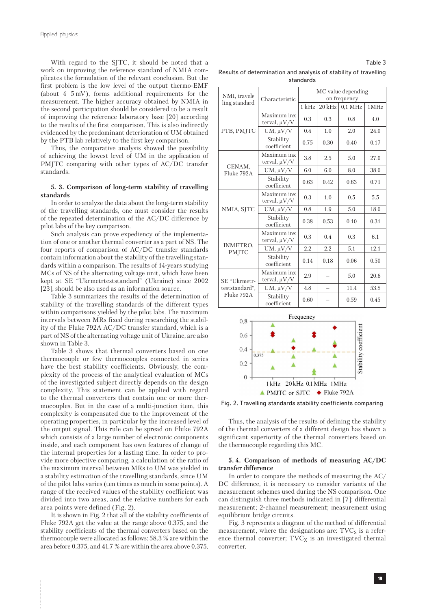With regard to the SJTC, it should be noted that a work on improving the reference standard of NMIA complicates the formulation of the relevant conclusion. But the first problem is the low level of the output thermo-EMF (about 4–5 mV), forms additional requirements for the measurement. The higher accuracy obtained by NMIA in the second participation should be considered to be a result of improving the reference laboratory base [20] according to the results of the first comparison. This is also indirectly evidenced by the predominant deterioration of UM obtained by the PTB lab relatively to the first key comparison.

Thus, the comparative analysis showed the possibility of achieving the lowest level of UM in the application of PMJTC comparing with other types of AC/DC transfer standards.

## **5. 3. Comparison of long-term stability of travelling standards**

In order to analyze the data about the long-term stability of the travelling standards, one must consider the results of the repeated determination of the AC/DC difference by pilot labs of the key comparison.

Such analysis can prove expediency of the implementation of one or another thermal converter as a part of NS. The four reports of comparison of AC/DC transfer standards contain information about the stability of the travelling standards within a comparison. The results of 14-years studying MCs of NS of the alternating voltage unit, which have been kept at SE "Ukrmetrteststandard" (Ukraine) since 2002 [23], should be also used as an information source.

Table 3 summarizes the results of the determination of stability of the travelling standards of the different types within comparisons yielded by the pilot labs. The maximum intervals between MRs fixed during researching the stability of the Fluke 792A AC/DC transfer standard, which is a part of NS of the alternating voltage unit of Ukraine, are also shown in Table 3.

Table 3 shows that thermal converters based on one thermocouple or few thermocouples connected in series have the best stability coefficients. Obviously, the complexity of the process of the analytical evaluation of MCs of the investigated subject directly depends on the design complexity. This statement can be applied with regard to the thermal converters that contain one or more thermocouples. But in the case of a multi-junction item, this complexity is compensated due to the improvement of the operating properties, in particular by the increased level of the output signal. This rule can be spread on Fluke 792A which consists of a large number of electronic components inside, and each component has own features of change of the internal properties for a lasting time. In order to provide more objective comparing, a calculation of the ratio of the maximum interval between MRs to UM was yielded in a stability estimation of the travelling standards, since UM of the pilot labs varies (ten times as much in some points). A range of the received values of the stability coefficient was divided into two areas, and the relative numbers for each area points were defined (Fig. 2).

It is shown in Fig. 2 that all of the stability coefficients of Fluke 792A get the value at the range above 0.375, and the stability coefficients of the thermal converters based on the thermocouple were allocated as follows: 58.3 % are within the area before 0.375, and 41.7 % are within the area above 0.375.

Results of determination and analysis of stability of travelling standards

| NMI, travelr                                 |                                  | MC value depending |                          |           |      |  |
|----------------------------------------------|----------------------------------|--------------------|--------------------------|-----------|------|--|
| ling standard                                | Characteristic                   | on frequency       |                          |           |      |  |
|                                              |                                  | $1$ kHz            | $20$ kHz                 | $0.1$ MHz | 1MHz |  |
|                                              | Maximum inx<br>terval, $\mu V/V$ | 0.3                | 0.3                      | 08        | 4.0  |  |
| PTB, PMJTC                                   | $UM, \mu V/V$                    | 0.4                | 1.0                      | 2.0       | 24.0 |  |
|                                              | Stability<br>coefficient         | 0.75               | 0.30                     | 0.40      | 0.17 |  |
|                                              | Maximum inx<br>terval, $\mu V/V$ | 3.8                | 2.5                      | 5.0       | 27.0 |  |
| CENAM,<br>Fluke 792A                         | UM, $\mu V/V$                    | 6.0                | 6.0                      | 8.0       | 38.0 |  |
|                                              | Stability<br>coefficient         | 0.63               | 0.42                     | 0.63      | 0.71 |  |
| NMIA, SJTC                                   | Maximum inx<br>terval, $\mu V/V$ | 0.3                | 1.0                      | 0.5       | 5.5  |  |
|                                              | $UM, \mu V/V$                    | 0.8                | 1.9                      | 5.0       | 18.0 |  |
|                                              | Stability<br>coefficient         | 0.38               | 0.53                     | 0.10      | 0.31 |  |
|                                              | Maximum inx<br>terval, $\mu V/V$ | 0.3                | 0.4                      | 0.3       | 6.1  |  |
| <b>INMETRO,</b><br>PMJTC                     | $UM, \mu V/V$                    | 2.2                | 2.2                      | 5.1       | 12.1 |  |
|                                              | Stability<br>coefficient         | 0.14               | 0.18                     | 0.06      | 0.50 |  |
| SE "Ukrmetr-<br>teststandard",<br>Fluke 792A | Maximum inx<br>terval, $\mu V/V$ | 2.9                |                          | 5.0       | 20.6 |  |
|                                              | $UM, \mu V/V$                    | 4.8                | $\overline{\phantom{0}}$ | 11.4      | 53.8 |  |
|                                              | Stability<br>coefficient         | 0.60               |                          | 0.59      | 0.45 |  |
| Frequency                                    |                                  |                    |                          |           |      |  |
| $0.8 -$                                      |                                  |                    |                          |           |      |  |



Fig. 2. Travelling standards stability coefficients comparing

Thus, the analysis of the results of defining the stability of the thermal converters of a different design has shown a significant superiority of the thermal converters based on the thermocouple regarding this MC.

## **5. 4. Comparison of methods of measuring AC/DC transfer difference**

In order to compare the methods of measuring the AC/ DC difference, it is necessary to consider variants of the measurement schemes used during the NS comparison. One can distinguish three methods indicated in [7]: differential measurement; 2-channel measurement; measurement using equilibrium bridge circuits.

Fig. 3 represents a diagram of the method of differential measurement, where the designations are:  $TVC<sub>S</sub>$  is a reference thermal converter;  $TVC<sub>X</sub>$  is an investigated thermal converter.

### Table 3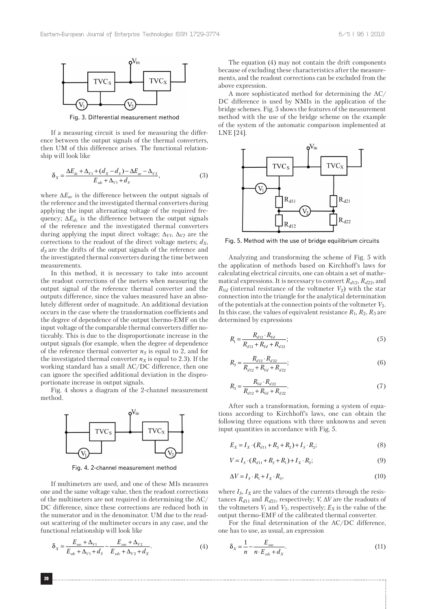

Fig. 3. Differential measurement method

If a measuring circuit is used for measuring the difference between the output signals of the thermal converters, then UM of this difference arises. The functional relationship will look like

$$
\delta_X = \frac{\Delta E_{dc} + \Delta_{V1} + (d_X - d_S) - \Delta E_{ac} - \Delta_{V2}}{E_{sdc} + \Delta_{V1} + d_S},\tag{3}
$$

where  $\Delta E_{ac}$  is the difference between the output signals of the reference and the investigated thermal converters during applying the input alternating voltage of the required frequency;  $\Delta E_{dc}$  is the difference between the output signals of the reference and the investigated thermal converters during applying the input direct voltage;  $\Delta_{V1}$ ,  $\Delta_{V2}$  are the corrections to the readout of the direct voltage meters;  $d_X$ ,  $d<sub>S</sub>$  are the drifts of the output signals of the reference and the investigated thermal converters during the time between measurements.

In this method, it is necessary to take into account the readout corrections of the meters when measuring the output signal of the reference thermal converter and the outputs difference, since the values measured have an absolutely different order of magnitude. An additional deviation occurs in the case where the transformation coefficients and the degree of dependence of the output thermo-EMF on the input voltage of the comparable thermal converters differ noticeably. This is due to the disproportionate increase in the output signals (for example, when the degree of dependence of the reference thermal converter  $n<sub>S</sub>$  is equal to 2, and for the investigated thermal converter  $n<sub>X</sub>$  is equal to 2.3). If the working standard has a small AC/DC difference, then one can ignore the specified additional deviation in the disproportionate increase in output signals.

Fig. 4 shows a diagram of the 2-channel measurement method.



Fig. 4. 2-channel measurement method

If multimeters are used, and one of these MIs measures one and the same voltage value, then the readout corrections of the multimeters are not required in determining the AC/ DC difference, since these corrections are reduced both in the numerator and in the denominator. UM due to the readout scattering of the multimeter occurs in any case, and the functional relationship will look like

$$
\delta_X = \frac{E_{\text{vac}} + \Delta_{V1}}{E_{\text{sdc}} + \Delta_{V1} + d_S} - \frac{E_{\text{vac}} + \Delta_{V2}}{E_{\text{xdc}} + \Delta_{V2} + d_X}.
$$
(4)

The equation (4) may not contain the drift components because of excluding these characteristics after the measurements, and the readout corrections can be excluded from the above expression.

A more sophisticated method for determining the AC/ DC difference is used by NMIs in the application of the bridge schemes. Fig. 5 shows the features of the measurement method with the use of the bridge scheme on the example of the system of the automatic comparison implemented at LNE [24].



Fig. 5. Method with the use of bridge equilibrium circuits

Analyzing and transforming the scheme of Fig. 5 with the application of methods based on Kirchhoff's laws for calculating electrical circuits, one can obtain a set of mathematical expressions. It is necessary to convert *Rd*12, *Rd*22, and  $R_{Vd}$  (internal resistance of the voltmeter  $V_2$ ) with the star connection into the triangle for the analytical determination of the potentials at the connection points of the voltmeter  $V_2$ . In this case, the values of equivalent resistance  $R_1, R_2, R_3$  are determined by expressions

$$
R_{1} = \frac{R_{d12} \cdot R_{Vd}}{R_{d12} + R_{Vd} + R_{d22}};
$$
\n(5)

$$
R_2 = \frac{R_{d12} \cdot R_{d22}}{R_{d12} + R_{vd} + R_{d22}};
$$
\n(6)

$$
R_3 = \frac{R_{Vd} \cdot R_{d22}}{R_{d12} + R_{Vd} + R_{d22}}.\tag{7}
$$

After such a transformation, forming a system of equations according to Kirchhoff's laws, one can obtain the following three equations with three unknowns and seven input quantities in accordance with Fig. 5.

$$
E_x = I_x \cdot (R_{d11} + R_3 + R_2) + I_s \cdot R_2;
$$
 (8)

$$
V = I_s \cdot (R_{d11} + R_2 + R_1) + I_x \cdot R_2;
$$
\n(9)

$$
\Delta V = I_s \cdot R_1 + I_x \cdot R_3,\tag{10}
$$

where  $I_S$ ,  $I_X$  are the values of the currents through the resistances  $R_{d11}$  and  $R_{d21}$ , respectively; *V*,  $\Delta V$  are the readouts of the voltmeters  $V_1$  and  $V_2$ , respectively;  $E_X$  is the value of the output thermo-EMF of the calibrated thermal converter.

For the final determination of the AC/DC difference, one has to use, as usual, an expression

$$
\delta_X = \frac{1}{n} - \frac{E_{\text{vac}}}{n \cdot E_{\text{xdc}} + d_X}.
$$
\n(11)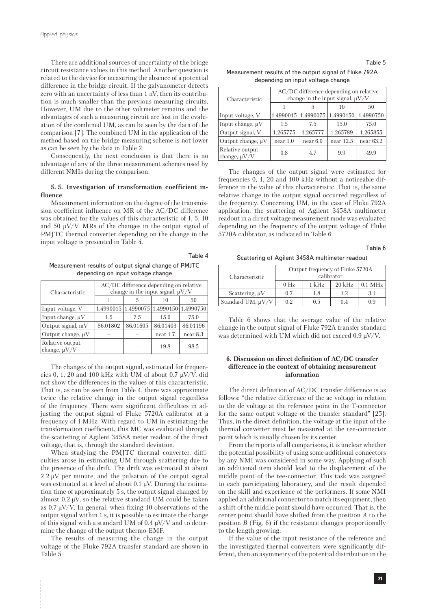There are additional sources of uncertainty of the bridge circuit resistance values in this method. Another question is related to the device for measuring the absence of a potential difference in the bridge circuit. If the galvanometer detects zero with an uncertainty of less than 1 nV, then its contribution is much smaller than the previous measuring circuits. However, UM due to the other voltmeter remains and the advantages of such a measuring circuit are lost in the evaluation of the combined UM, as can be seen by the data of the comparison [7]. The combined UM in the application of the method based on the bridge measuring scheme is not lower as can be seen by the data in Table 2.

Consequently, the next conclusion is that there is no advantage of any of the three measurement schemes used by different NMIs during the comparison.

## **5. 5. Investigation of transformation coefficient influence**

Measurement information on the degree of the transmission coefficient influence on MR of the AC/DC difference was obtained for the values of this characteristic of 1, 5, 10 and 50 μV/V. MRs of the changes in the output signal of PMJTC thermal converter depending on the change in the input voltage is presented in Table 4.

Table 4 Measurement results of output signal change of PMJTC depending on input voltage change

| Characteristic                       | AC/DC difference depending on relative<br>change in the input signal, $\mu$ V/V |                                               |          |          |  |
|--------------------------------------|---------------------------------------------------------------------------------|-----------------------------------------------|----------|----------|--|
|                                      |                                                                                 |                                               | 10       | 50       |  |
| Input voltage, V                     |                                                                                 | 1.4990015   1.4990075   1.4990150   1.4990750 |          |          |  |
| Input change, $\mu V$                | 1.5                                                                             | 7.5                                           | 15.0     | 75.0     |  |
| Output signal, mV                    | 86.01802                                                                        | 86.01605                                      | 86.01403 | 86.01196 |  |
| Output change, $\mu V$               |                                                                                 |                                               | near 1.7 | near 8.3 |  |
| Relative output<br>change, $\mu$ V/V |                                                                                 |                                               | 19.8     | 98.5     |  |

The changes of the output signal, estimated for frequencies 0, 1, 20 and 100 kHz with UM of about 0.7  $\mu$ V/V, did not show the differences in the values of this characteristic. That is, as can be seen from Table 4, there was approximate twice the relative change in the output signal regardless of the frequency. There were significant difficulties in adjusting the output signal of Fluke 5720A calibrator at a frequency of 1 MHz. With regard to UM in estimating the transformation coefficient, this MC was evaluated through the scattering of Agilent 3458A meter readout of the direct voltage, that is, through the standard deviation.

When studying the PMJTC thermal converter, difficulties arose in estimating UM through scattering due to the presence of the drift. The drift was estimated at about  $2.2 \mu V$  per minute, and the pulsation of the output signal was estimated at a level of about 0.1 μV. During the estimation time of approximately 5 s, the output signal changed by almost  $0.2 \mu V$ , so the relative standard UM could be taken as 0.7 μV/V. In general, when fixing 10 observations of the output signal within 1 s, it is possible to estimate the change of this signal with a standard UM of  $0.4 \mu V/V$  and to determine the change of the output thermo-EMF.

The results of measuring the change in the output voltage of the Fluke 792A transfer standard are shown in Table 5.

Table 5

Measurement results of the output signal of Fluke 792A depending on input voltage change

| Characteristic                       | AC/DC difference depending on relative<br>change in the input signal, $\mu$ V/V |                     |             |             |  |
|--------------------------------------|---------------------------------------------------------------------------------|---------------------|-------------|-------------|--|
|                                      |                                                                                 |                     | 10          | 50          |  |
| Input voltage, V                     |                                                                                 | 1.4990015 1.4990075 | 1.4990150   | 1.4990750   |  |
| Input change, $\mu V$                | 1.5                                                                             | 7.5                 | 15.0        | 75.0        |  |
| Output signal, V                     | 1.265775                                                                        | 1.265777            | 1.265789    | 1.265855    |  |
| Output change, $\mu V$               | near 1.0                                                                        | near 6.0            | near $12.5$ | near $63.2$ |  |
| Relative output<br>change, $\mu V/V$ | 0.8                                                                             | 4.7                 | 9.9         | 49.9        |  |

The changes of the output signal were estimated for frequencies 0, 1, 20 and 100 kHz without a noticeable difference in the value of this characteristic. That is, the same relative change in the output signal occurred regardless of the frequency. Concerning UM, in the case of Fluke 792A application, the scattering of Agilent 3458A multimeter readout in a direct voltage measurement mode was evaluated depending on the frequency of the output voltage of Fluke 5720A calibrator, as indicated in Table 6.

Table 6

Scattering of Agilent 3458A multimeter readout

| Characteristic         | Output frequency of Fluke 5720A<br>calibrator |                  |          |           |  |
|------------------------|-----------------------------------------------|------------------|----------|-----------|--|
|                        | $0$ Hz                                        | $1 \mathrm{kHz}$ | $20$ kHz | $0.1$ MHz |  |
| Scattering, $\mu V$    | 0.7                                           | 1.8              | 12       | 31        |  |
| Standard UM, $\mu$ V/V | 0.2                                           | 0.5              | 0.4      | 0.9       |  |

Table 6 shows that the average value of the relative change in the output signal of Fluke 792A transfer standard was determined with UM which did not exceed 0.9 μV/V.

## **6. Discussion on direct definition of AC/DC transfer difference in the context of obtaining measurement information**

The direct definition of AC/DC transfer difference is as follows: "the relative difference of the ac voltage in relation to the dc voltage at the reference point in the T-connector for the same output voltage of the transfer standard" [25]. Thus, in the direct definition, the voltage at the input of the thermal converter must be measured at the tee-connector point which is usually chosen by its center.

From the reports of all comparisons, it is unclear whether the potential possibility of using some additional connectors by any NMI was considered in some way. Applying of such an additional item should lead to the displacement of the middle point of the tee-connector. This task was assigned to each participating laboratory, and the result depended on the skill and experience of the performers. If some NMI applied an additional connector to match its equipment, then a shift of the middle point should have occurred. That is, the center point should have shifted from the position *A* to the position *B* (Fig. 6) if the resistance changes proportionally to the length growing.

If the value of the input resistance of the reference and the investigated thermal converters were significantly different, then an asymmetry of the potential distribution in the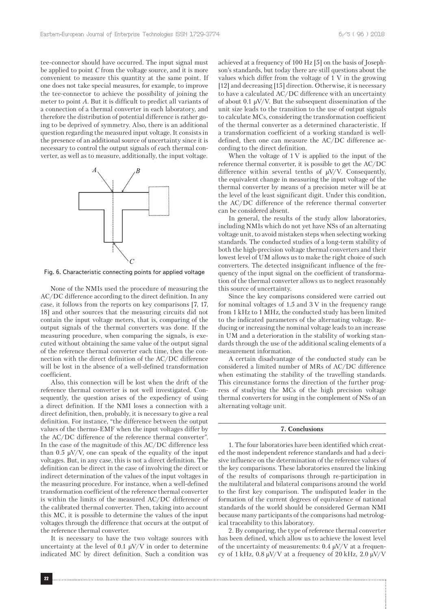tee-connector should have occurred. The input signal must be applied to point *C* from the voltage source, and it is more convenient to measure this quantity at the same point. If one does not take special measures, for example, to improve the tee-connector to achieve the possibility of joining the meter to point *A*. But it is difficult to predict all variants of a connection of a thermal converter in each laboratory, and therefore the distribution of potential difference is rather going to be deprived of symmetry. Also, there is an additional question regarding the measured input voltage. It consists in the presence of an additional source of uncertainty since it is necessary to control the output signals of each thermal converter, as well as to measure, additionally, the input voltage.



Fig. 6. Characteristic connecting points for applied voltage

None of the NMIs used the procedure of measuring the AC/DC difference according to the direct definition. In any case, it follows from the reports on key comparisons [7, 17, 18] and other sources that the measuring circuits did not contain the input voltage meters, that is, comparing of the output signals of the thermal converters was done. If the measuring procedure, when comparing the signals, is executed without obtaining the same value of the output signal of the reference thermal converter each time, then the connection with the direct definition of the AC/DC difference will be lost in the absence of a well-defined transformation coefficient.

Also, this connection will be lost when the drift of the reference thermal converter is not well investigated. Consequently, the question arises of the expediency of using a direct definition. If the NMI loses a connection with a direct definition, then, probably, it is necessary to give a real definition. For instance, "the difference between the output values of the thermo-EMF when the input voltages differ by the AC/DC difference of the reference thermal converter". In the case of the magnitude of this AC/DC difference less than 0.5  $\mu$ V/V, one can speak of the equality of the input voltages. But, in any case, this is not a direct definition. The definition can be direct in the case of involving the direct or indirect determination of the values of the input voltages in the measuring procedure. For instance, when a well-defined transformation coefficient of the reference thermal converter is within the limits of the measured AC/DC difference of the calibrated thermal converter. Then, taking into account this MC, it is possible to determine the values of the input voltages through the difference that occurs at the output of the reference thermal converter.

It is necessary to have the two voltage sources with uncertainty at the level of 0.1  $\mu$ V/V in order to determine indicated MC by direct definition. Such a condition was achieved at a frequency of 100 Hz [5] on the basis of Josephson's standards, but today there are still questions about the values which differ from the voltage of 1 V in the growing [12] and decreasing [15] direction. Otherwise, it is necessary to have a calculated AC/DC difference with an uncertainty of about 0.1  $\mu$ V/V. But the subsequent dissemination of the unit size leads to the transition to the use of output signals to calculate MCs, considering the transformation coefficient of the thermal converter as a determined characteristic. If a transformation coefficient of a working standard is welldefined, then one can measure the AC/DC difference according to the direct definition.

When the voltage of  $1 \,$ V is applied to the input of the reference thermal converter, it is possible to get the AC/DC difference within several tenths of  $\mu$ V/V. Consequently, the equivalent change in measuring the input voltage of the thermal converter by means of a precision meter will be at the level of the least significant digit. Under this condition, the AC/DC difference of the reference thermal converter can be considered absent.

In general, the results of the study allow laboratories, including NMIs which do not yet have NSs of an alternating voltage unit, to avoid mistaken steps when selecting working standards. The conducted studies of a long-term stability of both the high-precision voltage thermal converters and their lowest level of UM allows us to make the right choice of such converters. The detected insignificant influence of the frequency of the input signal on the coefficient of transformation of the thermal converter allows us to neglect reasonably this source of uncertainty.

Since the key comparisons considered were carried out for nominal voltages of 1.5 and 3 V in the frequency range from 1 kHz to 1 MHz, the conducted study has been limited to the indicated parameters of the alternating voltage. Reducing or increasing the nominal voltage leads to an increase in UM and a deterioration in the stability of working standards through the use of the additional scaling elements of a measurement information.

A certain disadvantage of the conducted study can be considered a limited number of MRs of AC/DC difference when estimating the stability of the travelling standards. This circumstance forms the direction of the further progress of studying the MCs of the high precision voltage thermal converters for using in the complement of NSs of an alternating voltage unit.

#### **7. Conclusions**

1. The four laboratories have been identified which created the most independent reference standards and had a decisive influence on the determination of the reference values of the key comparisons. These laboratories ensured the linking of the results of comparisons through re-participation in the multilateral and bilateral comparisons around the world to the first key comparison. The undisputed leader in the formation of the current degrees of equivalence of national standards of the world should be considered German NMI because many participants of the comparisons had metrological traceability to this laboratory.

2. By comparing, the type of reference thermal converter has been defined, which allow us to achieve the lowest level of the uncertainty of measurements:  $0.4 \mu V/V$  at a frequency of 1 kHz,  $0.8 \mu V/V$  at a frequency of 20 kHz,  $2.0 \mu V/V$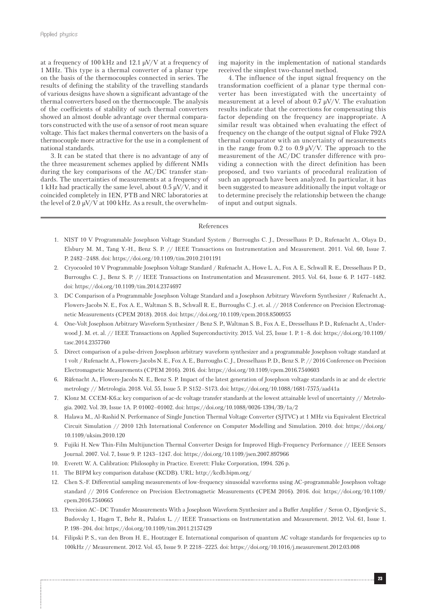at a frequency of 100 kHz and 12.1 μV/V at a frequency of 1 MHz. This type is a thermal converter of a planar type on the basis of the thermocouples connected in series. The results of defining the stability of the travelling standards of various designs have shown a significant advantage of the thermal converters based on the thermocouple. The analysis of the coefficients of stability of such thermal converters showed an almost double advantage over thermal comparators constructed with the use of a sensor of root mean square voltage. This fact makes thermal converters on the basis of a thermocouple more attractive for the use in a complement of national standards.

3. It can be stated that there is no advantage of any of the three measurement schemes applied by different NMIs during the key comparisons of the AC/DC transfer standards. The uncertainties of measurements at a frequency of 1 kHz had practically the same level, about 0.5 μV/V, and it coincided completely in IEN, PTB and NRC laboratories at the level of 2.0  $\mu$ V/V at 100 kHz. As a result, the overwhelming majority in the implementation of national standards received the simplest two-channel method.

4. The influence of the input signal frequency on the transformation coefficient of a planar type thermal converter has been investigated with the uncertainty of measurement at a level of about 0.7 μV/V. The evaluation results indicate that the corrections for compensating this factor depending on the frequency are inappropriate. A similar result was obtained when evaluating the effect of frequency on the change of the output signal of Fluke 792A thermal comparator with an uncertainty of measurements in the range from 0.2 to 0.9  $\mu$ V/V. The approach to the measurement of the AC/DC transfer difference with providing a connection with the direct definition has been proposed, and two variants of procedural realization of such an approach have been analyzed. In particular, it has been suggested to measure additionally the input voltage or to determine precisely the relationship between the change of input and output signals.

## References

- 1. NIST 10 V Programmable Josephson Voltage Standard System / Burroughs C. J., Dresselhaus P. D., Rufenacht A., Olaya D., Elsbury M. M., Tang Y.-H., Benz S. P. // IEEE Transactions on Instrumentation and Measurement. 2011. Vol. 60, Issue 7. P. 2482–2488. doi: https://doi.org/10.1109/tim.2010.2101191
- 2. Cryocooled 10 V Programmable Josephson Voltage Standard / Rufenacht A., Howe L. A., Fox A. E., Schwall R. E., Dresselhaus P. D., Burroughs C. J., Benz S. P. // IEEE Transactions on Instrumentation and Measurement. 2015. Vol. 64, Issue 6. P. 1477–1482. doi: https://doi.org/10.1109/tim.2014.2374697
- 3. DC Comparison of a Programmable Josephson Voltage Standard and a Josephson Arbitrary Waveform Synthesizer / Rufenacht A., Flowers-Jacobs N. E., Fox A. E., Waltman S. B., Schwall R. E., Burroughs C. J. et. al. // 2018 Conference on Precision Electromagnetic Measurements (CPEM 2018). 2018. doi: https://doi.org/10.1109/cpem.2018.8500955
- 4. One-Volt Josephson Arbitrary Waveform Synthesizer / Benz S. P., Waltman S. B., Fox A. E., Dresselhaus P. D., Rufenacht A., Underwood J. M. et. al. // IEEE Transactions on Applied Superconductivity. 2015. Vol. 25, Issue 1. P. 1–8. doi: https://doi.org/10.1109/ tasc.2014.2357760
- 5. Direct comparison of a pulse-driven Josephson arbitrary waveform synthesizer and a programmable Josephson voltage standard at 1 volt / Rufenacht A., Flowers-Jacobs N. E., Fox A. E., Burroughs C. J., Dresselhaus P. D., Benz S. P. // 2016 Conference on Precision Electromagnetic Measurements (CPEM 2016). 2016. doi: https://doi.org/10.1109/cpem.2016.7540603
- 6. Rüfenacht A., Flowers-Jacobs N. E., Benz S. P. Impact of the latest generation of Josephson voltage standards in ac and dc electric metrology // Metrologia. 2018. Vol. 55, Issue 5. P. S152–S173. doi: https://doi.org/10.1088/1681-7575/aad41a
- 7. Klonz M. CCEM-K6.a: key comparison of ac-dc voltage transfer standards at the lowest attainable level of uncertainty // Metrologia. 2002. Vol. 39, Issue 1A. P. 01002–01002. doi: https://doi.org/10.1088/0026-1394/39/1a/2
- 8. Halawa M., Al-Rashid N. Performance of Single Junction Thermal Voltage Converter (SJTVC) at 1 MHz via Equivalent Electrical Circuit Simulation // 2010 12th International Conference on Computer Modelling and Simulation. 2010. doi: https://doi.org/ 10.1109/uksim.2010.120
- 9. Fujiki H. New Thin-Film Multijunction Thermal Converter Design for Improved High-Frequency Performance // IEEE Sensors Journal. 2007. Vol. 7, Issue 9. P. 1243–1247. doi: https://doi.org/10.1109/jsen.2007.897966
- 10. Everett W. A. Calibration: Philosophy in Practice. Everett: Fluke Corporation, 1994. 526 p.
- 11. The BIPM key comparison database (KCDB). URL: http://kcdb.bipm.org/
- 12. Chen S.-F. Differential sampling measurements of low-frequency sinusoidal waveforms using AC-programmable Josephson voltage standard // 2016 Conference on Precision Electromagnetic Measurements (CPEM 2016). 2016. doi: https://doi.org/10.1109/ cpem.2016.7540665
- 13. Precision AC–DC Transfer Measurements With a Josephson Waveform Synthesizer and a Buffer Amplifier / Seron O., Djordjevic S., Budovsky I., Hagen T., Behr R., Palafox L. // IEEE Transactions on Instrumentation and Measurement. 2012. Vol. 61, Issue 1. P. 198–204. doi: https://doi.org/10.1109/tim.2011.2157429
- 14. Filipski P. S., van den Brom H. E., Houtzager E. International comparison of quantum AC voltage standards for frequencies up to 100kHz // Measurement. 2012. Vol. 45, Issue 9. P. 2218–2225. doi: https://doi.org/10.1016/j.measurement.2012.03.008